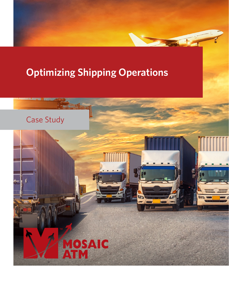# **Optimizing Shipping Operations**



A de l'annumer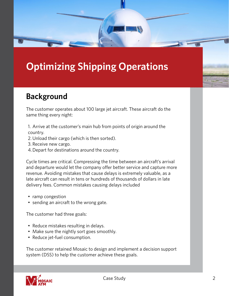# **Optimizing Shipping Operations**

#### **Background**

The customer operates about 100 large jet aircraft. These aircraft do the same thing every night:

- 1. Arrive at the customer's main hub from points of origin around the country.
- 2.Unload their cargo (which is then sorted).
- 3. Receive new cargo.
- 4.Depart for destinations around the country.

Cycle times are critical. Compressing the time between an aircraft's arrival and departure would let the company offer better service and capture more revenue. Avoiding mistakes that cause delays is extremely valuable, as a late aircraft can result in tens or hundreds of thousands of dollars in late delivery fees. Common mistakes causing delays included

- ramp congestion
- sending an aircraft to the wrong gate.

The customer had three goals:

- Reduce mistakes resulting in delays.
- Make sure the nightly sort goes smoothly.
- Reduce jet-fuel consumption.

The customer retained Mosaic to design and implement a decision support system (DSS) to help the customer achieve these goals.